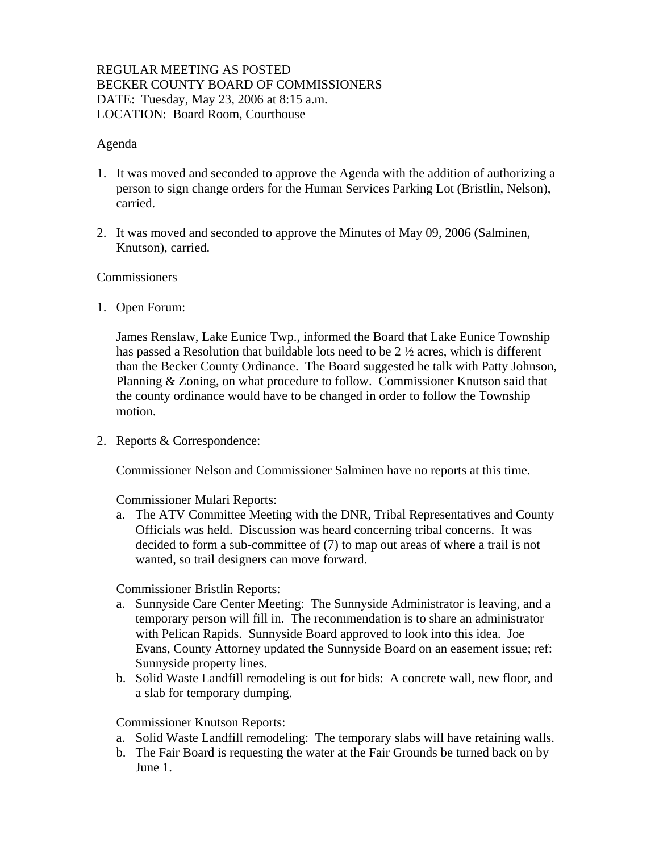### REGULAR MEETING AS POSTED BECKER COUNTY BOARD OF COMMISSIONERS DATE: Tuesday, May 23, 2006 at 8:15 a.m. LOCATION: Board Room, Courthouse

#### Agenda

- 1. It was moved and seconded to approve the Agenda with the addition of authorizing a person to sign change orders for the Human Services Parking Lot (Bristlin, Nelson), carried.
- 2. It was moved and seconded to approve the Minutes of May 09, 2006 (Salminen, Knutson), carried.

#### Commissioners

1. Open Forum:

James Renslaw, Lake Eunice Twp., informed the Board that Lake Eunice Township has passed a Resolution that buildable lots need to be  $2\frac{1}{2}$  acres, which is different than the Becker County Ordinance. The Board suggested he talk with Patty Johnson, Planning & Zoning, on what procedure to follow. Commissioner Knutson said that the county ordinance would have to be changed in order to follow the Township motion.

2. Reports & Correspondence:

Commissioner Nelson and Commissioner Salminen have no reports at this time.

#### Commissioner Mulari Reports:

a. The ATV Committee Meeting with the DNR, Tribal Representatives and County Officials was held. Discussion was heard concerning tribal concerns. It was decided to form a sub-committee of (7) to map out areas of where a trail is not wanted, so trail designers can move forward.

### Commissioner Bristlin Reports:

- a. Sunnyside Care Center Meeting: The Sunnyside Administrator is leaving, and a temporary person will fill in. The recommendation is to share an administrator with Pelican Rapids. Sunnyside Board approved to look into this idea. Joe Evans, County Attorney updated the Sunnyside Board on an easement issue; ref: Sunnyside property lines.
- b. Solid Waste Landfill remodeling is out for bids: A concrete wall, new floor, and a slab for temporary dumping.

### Commissioner Knutson Reports:

- a. Solid Waste Landfill remodeling: The temporary slabs will have retaining walls.
- b. The Fair Board is requesting the water at the Fair Grounds be turned back on by June 1.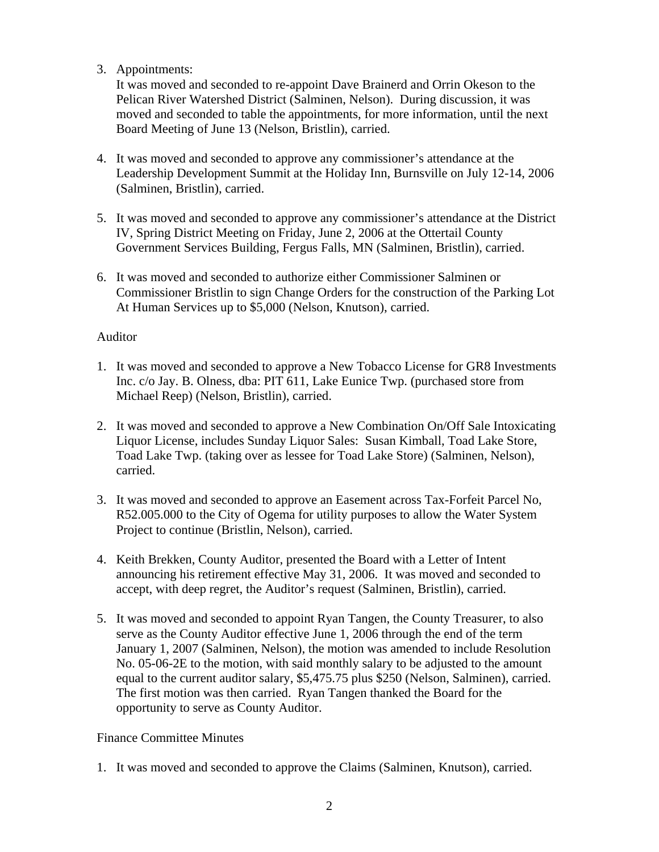## 3. Appointments:

It was moved and seconded to re-appoint Dave Brainerd and Orrin Okeson to the Pelican River Watershed District (Salminen, Nelson). During discussion, it was moved and seconded to table the appointments, for more information, until the next Board Meeting of June 13 (Nelson, Bristlin), carried.

- 4. It was moved and seconded to approve any commissioner's attendance at the Leadership Development Summit at the Holiday Inn, Burnsville on July 12-14, 2006 (Salminen, Bristlin), carried.
- 5. It was moved and seconded to approve any commissioner's attendance at the District IV, Spring District Meeting on Friday, June 2, 2006 at the Ottertail County Government Services Building, Fergus Falls, MN (Salminen, Bristlin), carried.
- 6. It was moved and seconded to authorize either Commissioner Salminen or Commissioner Bristlin to sign Change Orders for the construction of the Parking Lot At Human Services up to \$5,000 (Nelson, Knutson), carried.

### Auditor

- 1. It was moved and seconded to approve a New Tobacco License for GR8 Investments Inc. c/o Jay. B. Olness, dba: PIT 611, Lake Eunice Twp. (purchased store from Michael Reep) (Nelson, Bristlin), carried.
- 2. It was moved and seconded to approve a New Combination On/Off Sale Intoxicating Liquor License, includes Sunday Liquor Sales: Susan Kimball, Toad Lake Store, Toad Lake Twp. (taking over as lessee for Toad Lake Store) (Salminen, Nelson), carried.
- 3. It was moved and seconded to approve an Easement across Tax-Forfeit Parcel No, R52.005.000 to the City of Ogema for utility purposes to allow the Water System Project to continue (Bristlin, Nelson), carried.
- 4. Keith Brekken, County Auditor, presented the Board with a Letter of Intent announcing his retirement effective May 31, 2006. It was moved and seconded to accept, with deep regret, the Auditor's request (Salminen, Bristlin), carried.
- 5. It was moved and seconded to appoint Ryan Tangen, the County Treasurer, to also serve as the County Auditor effective June 1, 2006 through the end of the term January 1, 2007 (Salminen, Nelson), the motion was amended to include Resolution No. 05-06-2E to the motion, with said monthly salary to be adjusted to the amount equal to the current auditor salary, \$5,475.75 plus \$250 (Nelson, Salminen), carried. The first motion was then carried. Ryan Tangen thanked the Board for the opportunity to serve as County Auditor.

### Finance Committee Minutes

1. It was moved and seconded to approve the Claims (Salminen, Knutson), carried.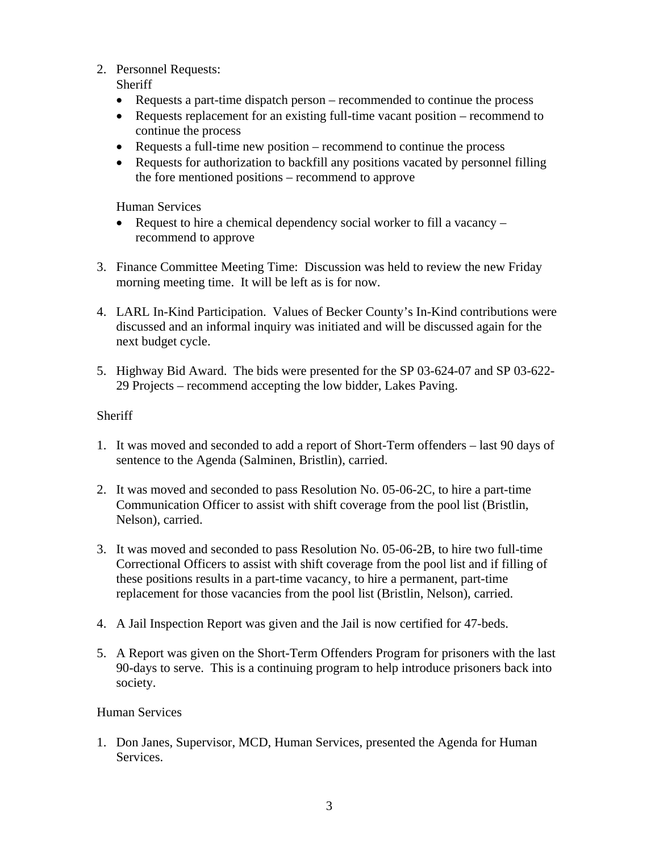2. Personnel Requests:

**Sheriff** 

- Requests a part-time dispatch person recommended to continue the process
- Requests replacement for an existing full-time vacant position recommend to continue the process
- Requests a full-time new position recommend to continue the process
- Requests for authorization to backfill any positions vacated by personnel filling the fore mentioned positions – recommend to approve

Human Services

- Request to hire a chemical dependency social worker to fill a vacancy recommend to approve
- 3. Finance Committee Meeting Time: Discussion was held to review the new Friday morning meeting time. It will be left as is for now.
- 4. LARL In-Kind Participation. Values of Becker County's In-Kind contributions were discussed and an informal inquiry was initiated and will be discussed again for the next budget cycle.
- 5. Highway Bid Award. The bids were presented for the SP 03-624-07 and SP 03-622- 29 Projects – recommend accepting the low bidder, Lakes Paving.

# **Sheriff**

- 1. It was moved and seconded to add a report of Short-Term offenders last 90 days of sentence to the Agenda (Salminen, Bristlin), carried.
- 2. It was moved and seconded to pass Resolution No. 05-06-2C, to hire a part-time Communication Officer to assist with shift coverage from the pool list (Bristlin, Nelson), carried.
- 3. It was moved and seconded to pass Resolution No. 05-06-2B, to hire two full-time Correctional Officers to assist with shift coverage from the pool list and if filling of these positions results in a part-time vacancy, to hire a permanent, part-time replacement for those vacancies from the pool list (Bristlin, Nelson), carried.
- 4. A Jail Inspection Report was given and the Jail is now certified for 47-beds.
- 5. A Report was given on the Short-Term Offenders Program for prisoners with the last 90-days to serve. This is a continuing program to help introduce prisoners back into society.

## Human Services

1. Don Janes, Supervisor, MCD, Human Services, presented the Agenda for Human Services.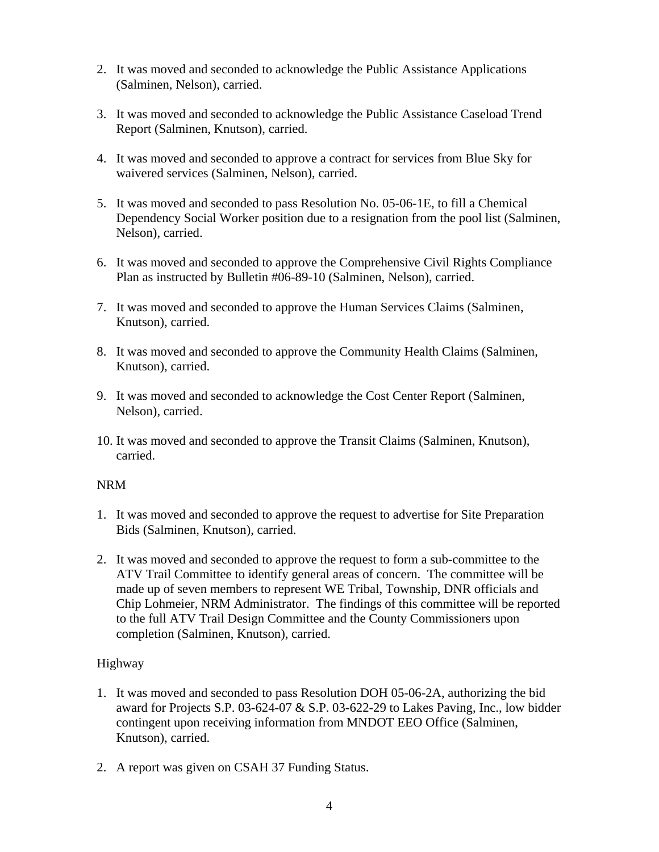- 2. It was moved and seconded to acknowledge the Public Assistance Applications (Salminen, Nelson), carried.
- 3. It was moved and seconded to acknowledge the Public Assistance Caseload Trend Report (Salminen, Knutson), carried.
- 4. It was moved and seconded to approve a contract for services from Blue Sky for waivered services (Salminen, Nelson), carried.
- 5. It was moved and seconded to pass Resolution No. 05-06-1E, to fill a Chemical Dependency Social Worker position due to a resignation from the pool list (Salminen, Nelson), carried.
- 6. It was moved and seconded to approve the Comprehensive Civil Rights Compliance Plan as instructed by Bulletin #06-89-10 (Salminen, Nelson), carried.
- 7. It was moved and seconded to approve the Human Services Claims (Salminen, Knutson), carried.
- 8. It was moved and seconded to approve the Community Health Claims (Salminen, Knutson), carried.
- 9. It was moved and seconded to acknowledge the Cost Center Report (Salminen, Nelson), carried.
- 10. It was moved and seconded to approve the Transit Claims (Salminen, Knutson), carried.

### NRM

- 1. It was moved and seconded to approve the request to advertise for Site Preparation Bids (Salminen, Knutson), carried.
- 2. It was moved and seconded to approve the request to form a sub-committee to the ATV Trail Committee to identify general areas of concern. The committee will be made up of seven members to represent WE Tribal, Township, DNR officials and Chip Lohmeier, NRM Administrator. The findings of this committee will be reported to the full ATV Trail Design Committee and the County Commissioners upon completion (Salminen, Knutson), carried.

### Highway

- 1. It was moved and seconded to pass Resolution DOH 05-06-2A, authorizing the bid award for Projects S.P. 03-624-07 & S.P. 03-622-29 to Lakes Paving, Inc., low bidder contingent upon receiving information from MNDOT EEO Office (Salminen, Knutson), carried.
- 2. A report was given on CSAH 37 Funding Status.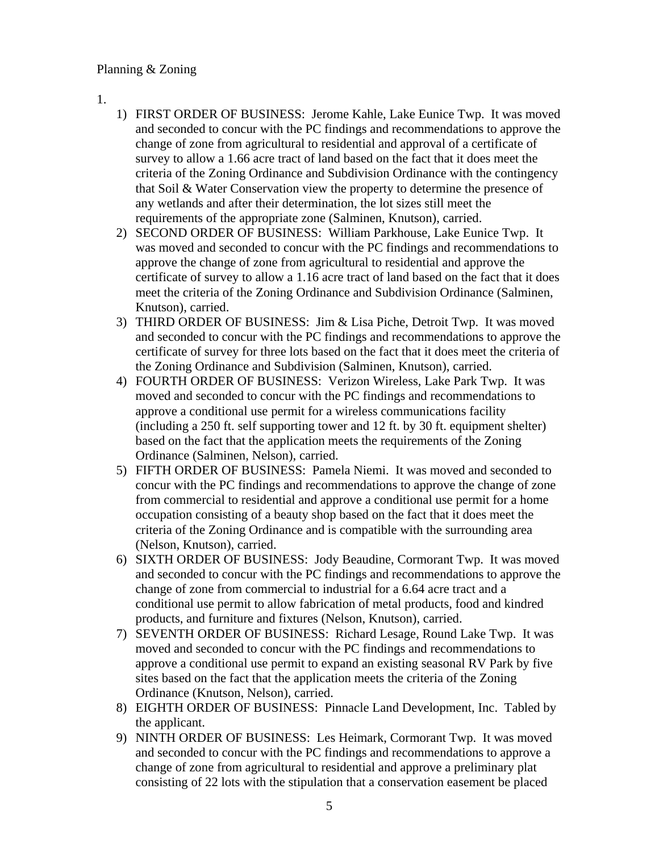### Planning & Zoning

- 1.
- 1) FIRST ORDER OF BUSINESS: Jerome Kahle, Lake Eunice Twp. It was moved and seconded to concur with the PC findings and recommendations to approve the change of zone from agricultural to residential and approval of a certificate of survey to allow a 1.66 acre tract of land based on the fact that it does meet the criteria of the Zoning Ordinance and Subdivision Ordinance with the contingency that Soil & Water Conservation view the property to determine the presence of any wetlands and after their determination, the lot sizes still meet the requirements of the appropriate zone (Salminen, Knutson), carried.
- 2) SECOND ORDER OF BUSINESS: William Parkhouse, Lake Eunice Twp. It was moved and seconded to concur with the PC findings and recommendations to approve the change of zone from agricultural to residential and approve the certificate of survey to allow a 1.16 acre tract of land based on the fact that it does meet the criteria of the Zoning Ordinance and Subdivision Ordinance (Salminen, Knutson), carried.
- 3) THIRD ORDER OF BUSINESS: Jim & Lisa Piche, Detroit Twp. It was moved and seconded to concur with the PC findings and recommendations to approve the certificate of survey for three lots based on the fact that it does meet the criteria of the Zoning Ordinance and Subdivision (Salminen, Knutson), carried.
- 4) FOURTH ORDER OF BUSINESS: Verizon Wireless, Lake Park Twp. It was moved and seconded to concur with the PC findings and recommendations to approve a conditional use permit for a wireless communications facility (including a 250 ft. self supporting tower and 12 ft. by 30 ft. equipment shelter) based on the fact that the application meets the requirements of the Zoning Ordinance (Salminen, Nelson), carried.
- 5) FIFTH ORDER OF BUSINESS: Pamela Niemi. It was moved and seconded to concur with the PC findings and recommendations to approve the change of zone from commercial to residential and approve a conditional use permit for a home occupation consisting of a beauty shop based on the fact that it does meet the criteria of the Zoning Ordinance and is compatible with the surrounding area (Nelson, Knutson), carried.
- 6) SIXTH ORDER OF BUSINESS: Jody Beaudine, Cormorant Twp. It was moved and seconded to concur with the PC findings and recommendations to approve the change of zone from commercial to industrial for a 6.64 acre tract and a conditional use permit to allow fabrication of metal products, food and kindred products, and furniture and fixtures (Nelson, Knutson), carried.
- 7) SEVENTH ORDER OF BUSINESS: Richard Lesage, Round Lake Twp. It was moved and seconded to concur with the PC findings and recommendations to approve a conditional use permit to expand an existing seasonal RV Park by five sites based on the fact that the application meets the criteria of the Zoning Ordinance (Knutson, Nelson), carried.
- 8) EIGHTH ORDER OF BUSINESS: Pinnacle Land Development, Inc. Tabled by the applicant.
- 9) NINTH ORDER OF BUSINESS: Les Heimark, Cormorant Twp. It was moved and seconded to concur with the PC findings and recommendations to approve a change of zone from agricultural to residential and approve a preliminary plat consisting of 22 lots with the stipulation that a conservation easement be placed